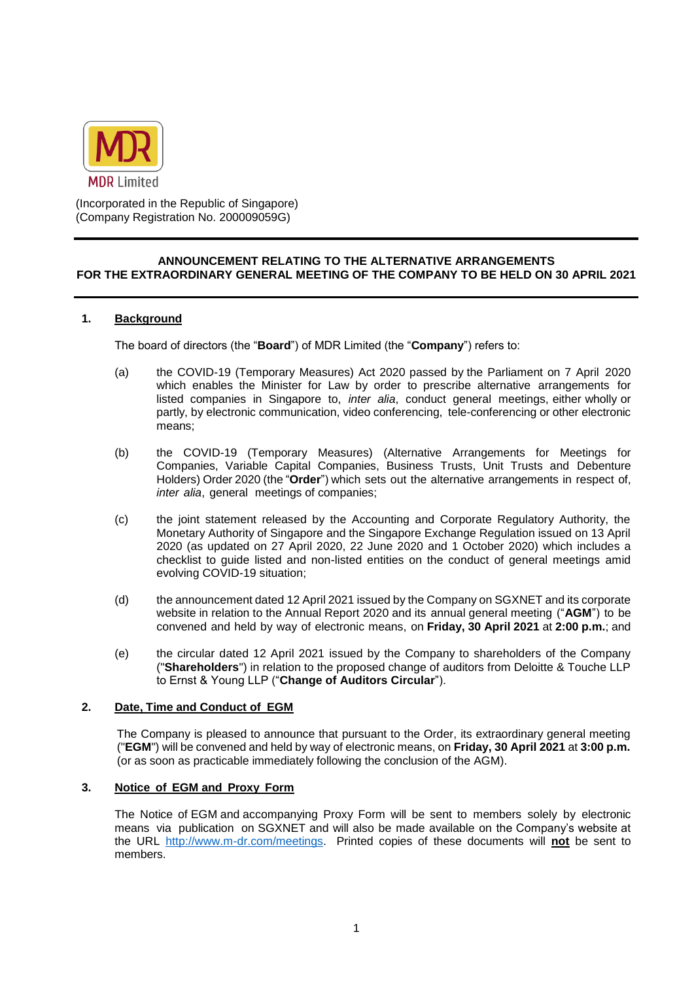

(Incorporated in the Republic of Singapore) (Company Registration No. 200009059G)

#### **ANNOUNCEMENT RELATING TO THE ALTERNATIVE ARRANGEMENTS FOR THE EXTRAORDINARY GENERAL MEETING OF THE COMPANY TO BE HELD ON 30 APRIL 2021**

## **1. Background**

The board of directors (the "**Board**") of MDR Limited (the "**Company**") refers to:

- (a) the COVID-19 (Temporary Measures) Act 2020 passed by the Parliament on 7 April 2020 which enables the Minister for Law by order to prescribe alternative arrangements for listed companies in Singapore to, *inter alia*, conduct general meetings, either wholly or partly, by electronic communication, video conferencing, tele-conferencing or other electronic means;
- (b) the COVID-19 (Temporary Measures) (Alternative Arrangements for Meetings for Companies, Variable Capital Companies, Business Trusts, Unit Trusts and Debenture Holders) Order 2020 (the "**Order**") which sets out the alternative arrangements in respect of, *inter alia*, general meetings of companies;
- (c) the joint statement released by the Accounting and Corporate Regulatory Authority, the Monetary Authority of Singapore and the Singapore Exchange Regulation issued on 13 April 2020 (as updated on 27 April 2020, 22 June 2020 and 1 October 2020) which includes a checklist to guide listed and non-listed entities on the conduct of general meetings amid evolving COVID-19 situation;
- (d) the announcement dated 12 April 2021 issued by the Company on SGXNET and its corporate website in relation to the Annual Report 2020 and its annual general meeting ("**AGM**") to be convened and held by way of electronic means, on **Friday, 30 April 2021** at **2:00 p.m.**; and
- (e) the circular dated 12 April 2021 issued by the Company to shareholders of the Company ("**Shareholders**") in relation to the proposed change of auditors from Deloitte & Touche LLP to Ernst & Young LLP ("**Change of Auditors Circular**").

### **2. Date, Time and Conduct of EGM**

The Company is pleased to announce that pursuant to the Order, its extraordinary general meeting ("**EGM**") will be convened and held by way of electronic means, on **Friday, 30 April 2021** at **3:00 p.m.**  (or as soon as practicable immediately following the conclusion of the AGM).

#### **3. Notice of EGM and Proxy Form**

The Notice of EGM and accompanying Proxy Form will be sent to members solely by electronic means via publication on SGXNET and will also be made available on the Company's website at the URL [http://www.m-dr.com/meetings.](http://www.m-dr.com/meetings) Printed copies of these documents will **not** be sent to members.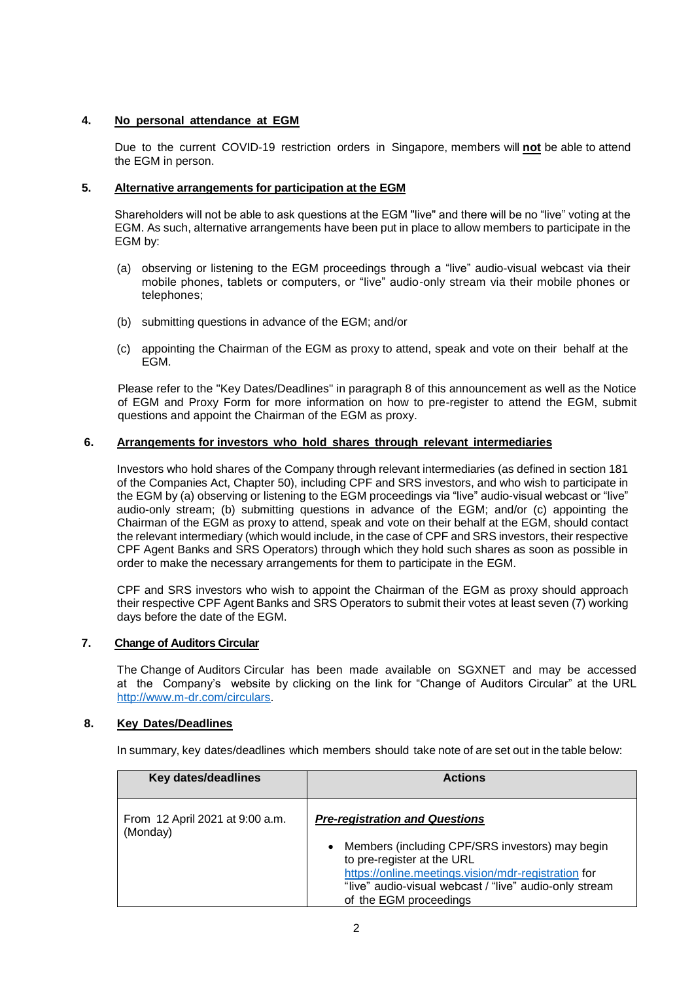# **4. No personal attendance at EGM**

Due to the current COVID-19 restriction orders in Singapore, members will **not** be able to attend the EGM in person.

## **5. Alternative arrangements for participation at the EGM**

Shareholders will not be able to ask questions at the EGM "live" and there will be no "live" voting at the EGM. As such, alternative arrangements have been put in place to allow members to participate in the EGM by:

- (a) observing or listening to the EGM proceedings through a "live" audio-visual webcast via their mobile phones, tablets or computers, or "live" audio-only stream via their mobile phones or telephones;
- (b) submitting questions in advance of the EGM; and/or
- (c) appointing the Chairman of the EGM as proxy to attend, speak and vote on their behalf at the EGM.

Please refer to the "Key Dates/Deadlines" in paragraph 8 of this announcement as well as the Notice of EGM and Proxy Form for more information on how to pre-register to attend the EGM, submit questions and appoint the Chairman of the EGM as proxy.

# **6. Arrangements for investors who hold shares through relevant intermediaries**

Investors who hold shares of the Company through relevant intermediaries (as defined in section 181 of the Companies Act, Chapter 50), including CPF and SRS investors, and who wish to participate in the EGM by (a) observing or listening to the EGM proceedings via "live" audio-visual webcast or "live" audio-only stream; (b) submitting questions in advance of the EGM; and/or (c) appointing the Chairman of the EGM as proxy to attend, speak and vote on their behalf at the EGM, should contact the relevant intermediary (which would include, in the case of CPF and SRS investors, their respective CPF Agent Banks and SRS Operators) through which they hold such shares as soon as possible in order to make the necessary arrangements for them to participate in the EGM.

CPF and SRS investors who wish to appoint the Chairman of the EGM as proxy should approach their respective CPF Agent Banks and SRS Operators to submit their votes at least seven (7) working days before the date of the EGM.

## **7. Change of Auditors Circular**

The Change of Auditors Circular has been made available on SGXNET and may be accessed at the Company's website by clicking on the link for "Change of Auditors Circular" at the URL [http://www.m-dr.com/circulars.](http://www.m-dr.com/circulars)

## **8. Key Dates/Deadlines**

In summary, key dates/deadlines which members should take note of are set out in the table below:

| Key dates/deadlines                         | <b>Actions</b>                                                                                                                                                                                                                                                                 |
|---------------------------------------------|--------------------------------------------------------------------------------------------------------------------------------------------------------------------------------------------------------------------------------------------------------------------------------|
| From 12 April 2021 at 9:00 a.m.<br>(Monday) | <b>Pre-registration and Questions</b><br>Members (including CPF/SRS investors) may begin<br>$\bullet$<br>to pre-register at the URL<br>https://online.meetings.vision/mdr-registration for<br>"live" audio-visual webcast / "live" audio-only stream<br>of the EGM proceedings |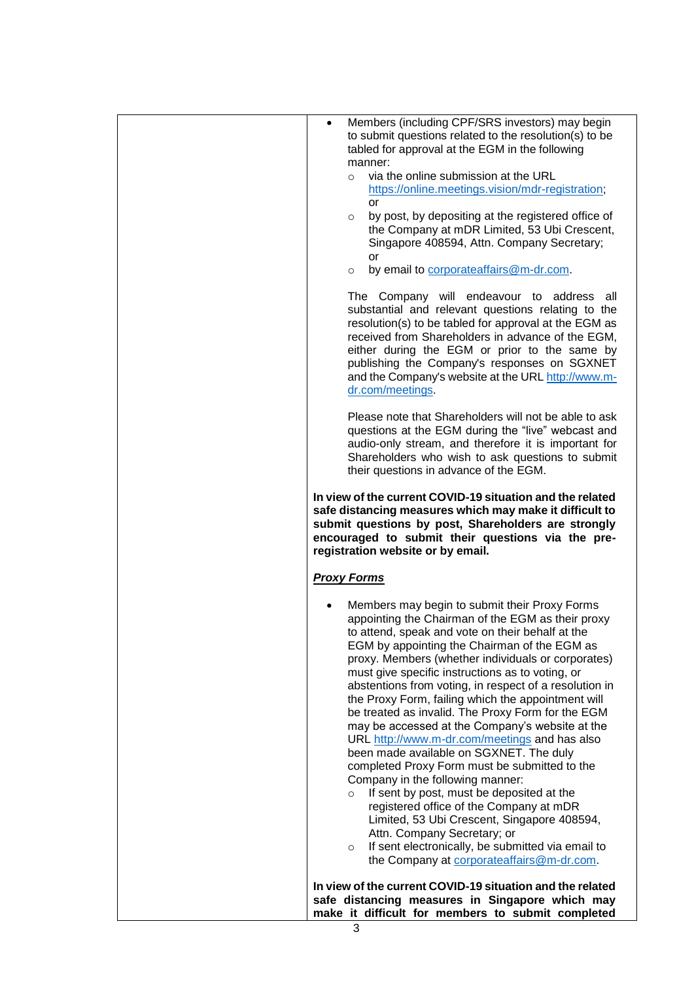| Members (including CPF/SRS investors) may begin<br>$\bullet$<br>to submit questions related to the resolution(s) to be<br>tabled for approval at the EGM in the following<br>manner:<br>via the online submission at the URL<br>$\circ$<br>https://online.meetings.vision/mdr-registration;<br>or<br>by post, by depositing at the registered office of<br>$\circ$<br>the Company at mDR Limited, 53 Ubi Crescent,<br>Singapore 408594, Attn. Company Secretary;<br>or<br>by email to corporate affairs @m-dr.com.<br>$\circ$                                                                                                                                                                                                                                                                                                                                                                                                                                                                                             |
|---------------------------------------------------------------------------------------------------------------------------------------------------------------------------------------------------------------------------------------------------------------------------------------------------------------------------------------------------------------------------------------------------------------------------------------------------------------------------------------------------------------------------------------------------------------------------------------------------------------------------------------------------------------------------------------------------------------------------------------------------------------------------------------------------------------------------------------------------------------------------------------------------------------------------------------------------------------------------------------------------------------------------|
| The Company will endeavour to address<br>all<br>substantial and relevant questions relating to the<br>resolution(s) to be tabled for approval at the EGM as<br>received from Shareholders in advance of the EGM,<br>either during the EGM or prior to the same by<br>publishing the Company's responses on SGXNET<br>and the Company's website at the URL http://www.m-<br>dr.com/meetings.                                                                                                                                                                                                                                                                                                                                                                                                                                                                                                                                                                                                                               |
| Please note that Shareholders will not be able to ask<br>questions at the EGM during the "live" webcast and<br>audio-only stream, and therefore it is important for<br>Shareholders who wish to ask questions to submit<br>their questions in advance of the EGM.                                                                                                                                                                                                                                                                                                                                                                                                                                                                                                                                                                                                                                                                                                                                                         |
| In view of the current COVID-19 situation and the related<br>safe distancing measures which may make it difficult to<br>submit questions by post, Shareholders are strongly<br>encouraged to submit their questions via the pre-<br>registration website or by email.                                                                                                                                                                                                                                                                                                                                                                                                                                                                                                                                                                                                                                                                                                                                                     |
| <b>Proxy Forms</b>                                                                                                                                                                                                                                                                                                                                                                                                                                                                                                                                                                                                                                                                                                                                                                                                                                                                                                                                                                                                        |
| Members may begin to submit their Proxy Forms<br>appointing the Chairman of the EGM as their proxy<br>to attend, speak and vote on their behalf at the<br>EGM by appointing the Chairman of the EGM as<br>proxy. Members (whether individuals or corporates)<br>must give specific instructions as to voting, or<br>abstentions from voting, in respect of a resolution in<br>the Proxy Form, failing which the appointment will<br>be treated as invalid. The Proxy Form for the EGM<br>may be accessed at the Company's website at the<br>URL http://www.m-dr.com/meetings and has also<br>been made available on SGXNET. The duly<br>completed Proxy Form must be submitted to the<br>Company in the following manner:<br>If sent by post, must be deposited at the<br>$\circ$<br>registered office of the Company at mDR<br>Limited, 53 Ubi Crescent, Singapore 408594,<br>Attn. Company Secretary; or<br>If sent electronically, be submitted via email to<br>$\circ$<br>the Company at corporate affairs @m-dr.com. |
| In view of the current COVID-19 situation and the related<br>safe distancing measures in Singapore which may<br>make it difficult for members to submit completed                                                                                                                                                                                                                                                                                                                                                                                                                                                                                                                                                                                                                                                                                                                                                                                                                                                         |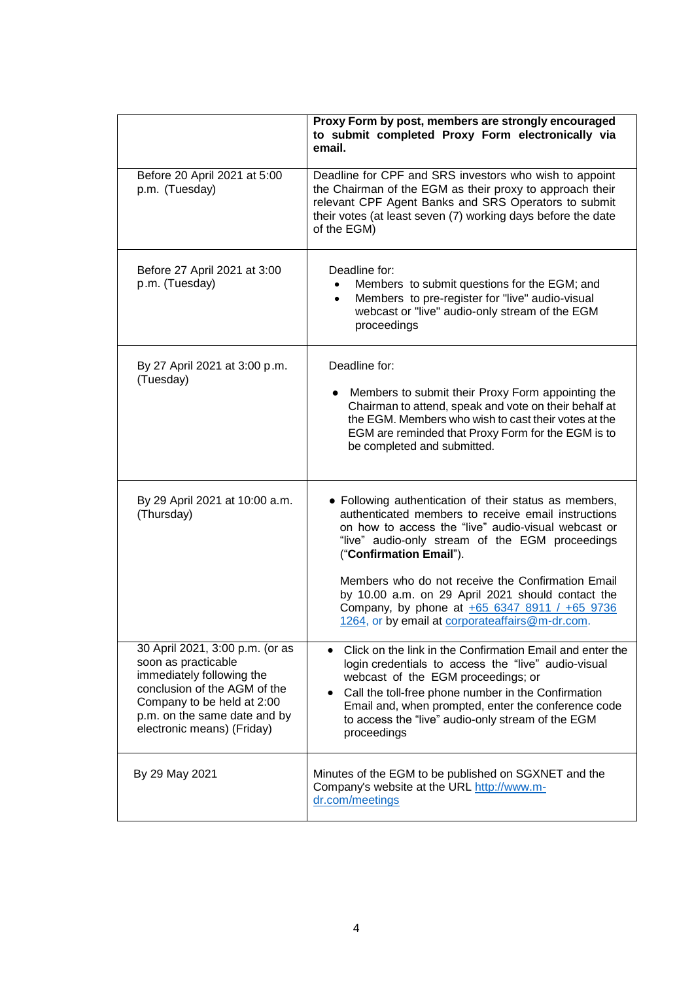|                                                                                                                                                                                                                 | Proxy Form by post, members are strongly encouraged<br>to submit completed Proxy Form electronically via<br>email.                                                                                                                                                                                                                                                                                                                                               |
|-----------------------------------------------------------------------------------------------------------------------------------------------------------------------------------------------------------------|------------------------------------------------------------------------------------------------------------------------------------------------------------------------------------------------------------------------------------------------------------------------------------------------------------------------------------------------------------------------------------------------------------------------------------------------------------------|
| Before 20 April 2021 at 5:00<br>p.m. (Tuesday)                                                                                                                                                                  | Deadline for CPF and SRS investors who wish to appoint<br>the Chairman of the EGM as their proxy to approach their<br>relevant CPF Agent Banks and SRS Operators to submit<br>their votes (at least seven (7) working days before the date<br>of the EGM)                                                                                                                                                                                                        |
| Before 27 April 2021 at 3:00<br>p.m. (Tuesday)                                                                                                                                                                  | Deadline for:<br>Members to submit questions for the EGM; and<br>Members to pre-register for "live" audio-visual<br>$\bullet$<br>webcast or "live" audio-only stream of the EGM<br>proceedings                                                                                                                                                                                                                                                                   |
| By 27 April 2021 at 3:00 p.m.<br>(Tuesday)                                                                                                                                                                      | Deadline for:<br>Members to submit their Proxy Form appointing the<br>Chairman to attend, speak and vote on their behalf at<br>the EGM. Members who wish to cast their votes at the<br>EGM are reminded that Proxy Form for the EGM is to<br>be completed and submitted.                                                                                                                                                                                         |
| By 29 April 2021 at 10:00 a.m.<br>(Thursday)                                                                                                                                                                    | • Following authentication of their status as members,<br>authenticated members to receive email instructions<br>on how to access the "live" audio-visual webcast or<br>"live" audio-only stream of the EGM proceedings<br>("Confirmation Email").<br>Members who do not receive the Confirmation Email<br>by 10.00 a.m. on 29 April 2021 should contact the<br>Company, by phone at +65 6347 8911 / +65 9736<br>1264, or by email at corporateaffairs@m-dr.com. |
| 30 April 2021, 3:00 p.m. (or as<br>soon as practicable<br>immediately following the<br>conclusion of the AGM of the<br>Company to be held at 2:00<br>p.m. on the same date and by<br>electronic means) (Friday) | • Click on the link in the Confirmation Email and enter the<br>login credentials to access the "live" audio-visual<br>webcast of the EGM proceedings; or<br>Call the toll-free phone number in the Confirmation<br>$\bullet$<br>Email and, when prompted, enter the conference code<br>to access the "live" audio-only stream of the EGM<br>proceedings                                                                                                          |
| By 29 May 2021                                                                                                                                                                                                  | Minutes of the EGM to be published on SGXNET and the<br>Company's website at the URL http://www.m-<br>dr.com/meetings                                                                                                                                                                                                                                                                                                                                            |